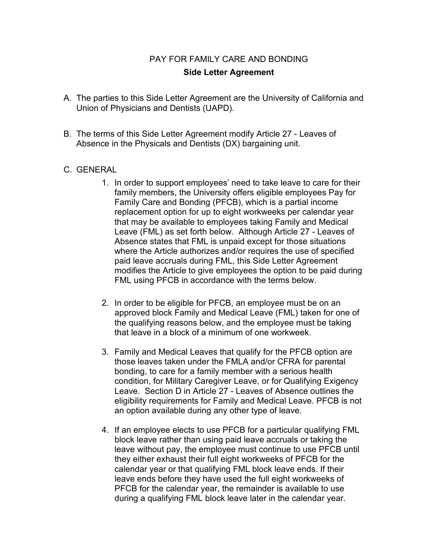# PAY FOR FAMILY CARE AND BONDING **Side Letter Agreement**

- A. The parties to this Side Letter Agreement are the University of California and Union of Physicians and Dentists (UAPD).
- B. The terms of this Side Letter Agreement modify Article 27 Leaves of Absence in the Physicals and Dentists (DX) bargaining unit.

### C. GENERAL

- 1. In order to support employees' need to take leave to care for their family members, the University offers eligible employees Pay for Family Care and Bonding (PFCB), which is a partial income replacement option for up to eight workweeks per calendar year that may be available to employees taking Family and Medical Leave (FML) as set forth below. Although Article 27 - Leaves of Absence states that FML is unpaid except for those situations where the Article authorizes and/or requires the use of specified paid leave accruals during FML, this Side Letter Agreement modifies the Article to give employees the option to be paid during FML using PFCB in accordance with the terms below.
- 2. In order to be eligible for PFCB, an employee must be on an approved block Family and Medical Leave (FML) taken for one of the qualifying reasons below, and the employee must be taking that leave in a block of a minimum of one workweek.
- 3. Family and Medical Leaves that qualify for the PFCB option are those leaves taken under the FMLA and/or CFRA for parental bonding, to care for a family member with a serious health condition, for Military Caregiver Leave, or for Qualifying Exigency Leave. Section D in Article 27 - Leaves of Absence outlines the eligibility requirements for Family and Medical Leave. PFCB is not an option available during any other type of leave.
- 4. If an employee elects to use PFCB for a particular qualifying FML block leave rather than using paid leave accruals or taking the leave without pay, the employee must continue to use PFCB until they either exhaust their full eight workweeks of PFCB for the calendar year or that qualifying FML block leave ends. If their leave ends before they have used the full eight workweeks of PFCB for the calendar year, the remainder is available to use during a qualifying FML block leave later in the calendar year.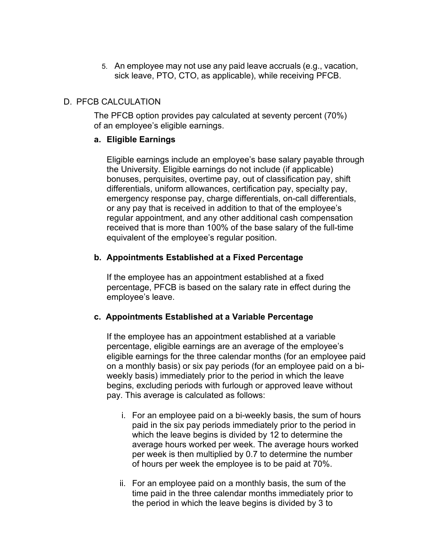5. An employee may not use any paid leave accruals (e.g., vacation, sick leave, PTO, CTO, as applicable), while receiving PFCB.

## D. PFCB CALCULATION

The PFCB option provides pay calculated at seventy percent (70%) of an employee's eligible earnings.

### **a. Eligible Earnings**

Eligible earnings include an employee's base salary payable through the University. Eligible earnings do not include (if applicable) bonuses, perquisites, overtime pay, out of classification pay, shift differentials, uniform allowances, certification pay, specialty pay, emergency response pay, charge differentials, on-call differentials, or any pay that is received in addition to that of the employee's regular appointment, and any other additional cash compensation received that is more than 100% of the base salary of the full-time equivalent of the employee's regular position.

### **b. Appointments Established at a Fixed Percentage**

If the employee has an appointment established at a fixed percentage, PFCB is based on the salary rate in effect during the employee's leave.

### **c. Appointments Established at a Variable Percentage**

If the employee has an appointment established at a variable percentage, eligible earnings are an average of the employee's eligible earnings for the three calendar months (for an employee paid on a monthly basis) or six pay periods (for an employee paid on a biweekly basis) immediately prior to the period in which the leave begins, excluding periods with furlough or approved leave without pay. This average is calculated as follows:

- i. For an employee paid on a bi-weekly basis, the sum of hours paid in the six pay periods immediately prior to the period in which the leave begins is divided by 12 to determine the average hours worked per week. The average hours worked per week is then multiplied by 0.7 to determine the number of hours per week the employee is to be paid at 70%.
- ii. For an employee paid on a monthly basis, the sum of the time paid in the three calendar months immediately prior to the period in which the leave begins is divided by 3 to